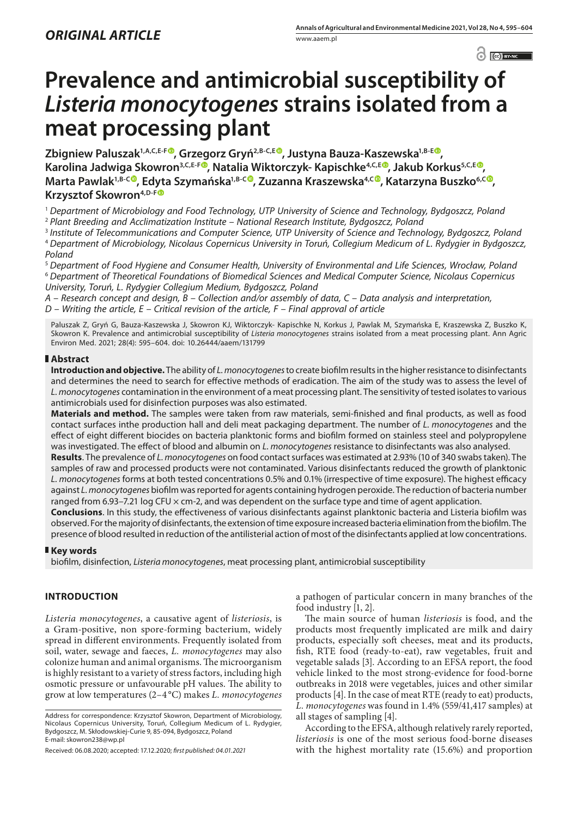$\bigcirc$   $\bigcirc$   $\bigcirc$  BY-NC  $\bigcirc$ 

# **Prevalence and antimicrobial susceptibility of**  *Listeria monocytogenes* **strains isolated from a meat processing plant**

**Zbigniew Paluszak1,A,C,E-[F](https://orcid.org/0000-0002-0738-1155) , Grzegorz Gryń2,B-C,E [,](https://orcid.org/0000-0001-6743-1356) Justyna Bauza-Kaszewska1,B-[E](https://orcid.org/0000-0003-2972-6131) ,**  Karolina Jadwiga Skowron<sup>3[,](https://orcid.org/0000-0001-9234-8095)C,E-F®</sup>, Natalia Wiktorczyk- Kapischke<sup>4,C,E®</sup>, Jakub Korkus<sup>5,C,E®</sup>, **Marta Pawlak1,B-C [,](https://orcid.org/0000-0001-8005-8699) Edyta Szymańska1,B-C [,](https://orcid.org/0000-0001-8333-0985) Zuzanna Kraszewska4,C [,](https://orcid.org/0000-0002-4097-7575) Katarzyna Buszko6,C , Krzysztof Skowron4,D-F**

<sup>1</sup> *Department of Microbiology and Food Technology, UTP University of Science and Technology, Bydgoszcz, Poland*

<sup>2</sup> *Plant Breeding and Acclimatization Institute – National Research Institute, Bydgoszcz, Poland*

<sup>3</sup> *Institute of Telecommunications and Computer Science, UTP University of Science and Technology, Bydgoszcz, Poland* <sup>4</sup> *Department of Microbiology, Nicolaus Copernicus University in Toruń, Collegium Medicum of L. Rydygier in Bydgoszcz, Poland*

<sup>5</sup> *Department of Food Hygiene and Consumer Health, University of Environmental and Life Sciences, Wrocław, Poland* <sup>6</sup> *Department of Theoretical Foundations of Biomedical Sciences and Medical Computer Science, Nicolaus Copernicus University, Toruń, L. Rydygier Collegium Medium, Bydgoszcz, Poland*

*A – Research concept and design, B – Collection and/or assembly of data, C – Data analysis and interpretation, D – Writing the article, E – Critical revision of the article, F – Final approval of article*

Paluszak Z, Gryń G, Bauza-Kaszewska J, Skowron KJ, Wiktorczyk- Kapischke N, Korkus J, Pawlak M, Szymańska E, Kraszewska Z, Buszko K, Skowron K. Prevalence and antimicrobial susceptibility of *Listeria monocytogenes* strains isolated from a meat processing plant. Ann Agric Environ Med. 2021; 28(4): 595–604. doi: 10.26444/aaem/131799

## **Abstract**

**Introduction and objective.** The ability of *L. monocytogenes* to create biofilm results in the higher resistance to disinfectants and determines the need to search for effective methods of eradication. The aim of the study was to assess the level of *L. monocytogenes* contamination in the environment of a meat processing plant. The sensitivity of tested isolates to various antimicrobials used for disinfection purposes was also estimated.

**Materials and method.** The samples were taken from raw materials, semi-finished and final products, as well as food contact surfaces inthe production hall and deli meat packaging department. The number of *L. monocytogenes* and the effect of eight different biocides on bacteria planktonic forms and biofilm formed on stainless steel and polypropylene was investigated. The effect of blood and albumin on *L. monocytogenes* resistance to disinfectants was also analysed.

**Results**. The prevalence of *L. monocytogenes* on food contact surfaces was estimated at 2.93% (10 of 340 swabs taken). The samples of raw and processed products were not contaminated. Various disinfectants reduced the growth of planktonic *L. monocytogenes* forms at both tested concentrations 0.5% and 0.1% (irrespective of time exposure). The highest efficacy against *L. monocytogenes* biofilm was reported for agents containing hydrogen peroxide. The reduction of bacteria number ranged from 6.93-7.21 log CFU x cm-2, and was dependent on the surface type and time of agent application.

**Conclusions**. In this study, the effectiveness of various disinfectants against planktonic bacteria and Listeria biofilm was observed. For the majority of disinfectants, the extension of time exposure increased bacteria elimination from the biofilm. The presence of blood resulted in reduction of the antilisterial action of most of the disinfectants applied at low concentrations.

# **Key words**

biofilm, disinfection, *Listeria monocytogenes*, meat processing plant, antimicrobial susceptibility

# **INTRODUCTION**

*Listeria monocytogenes*, a causative agent of *listeriosis*, is a Gram-positive, non spore-forming bacterium, widely spread in different environments. Frequently isolated from soil, water, sewage and faeces, *L. monocytogenes* may also colonize human and animal organisms. The microorganism is highly resistant to a variety of stress factors, including high osmotic pressure or unfavourable pH values. The ability to grow at low temperatures (2–4 °C) makes *L. monocytogenes*

a pathogen of particular concern in many branches of the food industry [1, 2].

The main source of human *listeriosis* is food, and the products most frequently implicated are milk and dairy products, especially soft cheeses, meat and its products, fish, RTE food (ready-to-eat), raw vegetables, fruit and vegetable salads [3]. According to an EFSA report, the food vehicle linked to the most strong-evidence for food-borne outbreaks in 2018 were vegetables, juices and other similar products [4]. In the case of meat RTE (ready to eat) products, *L. monocytogenes* was found in 1.4% (559/41,417 samples) at all stages of sampling [4].

According to the EFSA, although relatively rarely reported, *listeriosis* is one of the most serious food-borne diseases with the highest mortality rate (15.6%) and proportion

Address for correspondence: Krzysztof Skowron, Department of Microbiology, Nicolaus Copernicus University, Toruń, Collegium Medicum of L. Rydygier, Bydgoszcz, M. Skłodowskiej-Curie 9, 85-094, Bydgoszcz, Poland E-mail: skowron238@wp.pl

Received: 06.08.2020; accepted: 17.12.2020; *first published: 04.01.2021*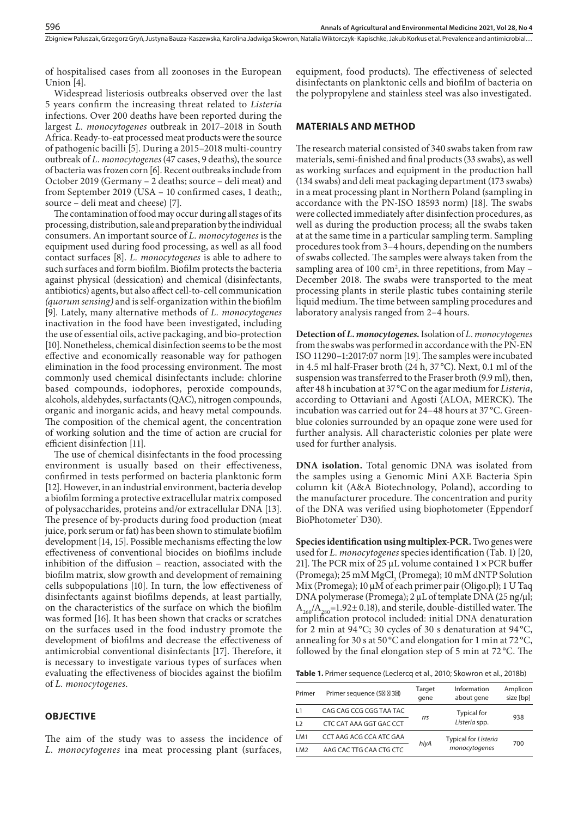of hospitalised cases from all zoonoses in the European Union [4].

Widespread listeriosis outbreaks observed over the last 5 years confirm the increasing threat related to *Listeria* infections. Over 200 deaths have been reported during the largest *L. monocytogenes* outbreak in 2017–2018 in South Africa. Ready-to-eat processed meat products were the source of pathogenic bacilli [5]. During a 2015–2018 multi-country outbreak of *L. monocytogenes* (47 cases, 9 deaths), the source of bacteria was frozen corn [6]. Recent outbreaks include from October 2019 (Germany – 2 deaths; source – deli meat) and from September 2019 (USA – 10 confirmed cases, 1 death;, source – deli meat and cheese) [7].

The contamination of food may occur during all stages of its processing, distribution, sale and preparation by the individual consumers. An important source of *L. monocytogenes* is the equipment used during food processing, as well as all food contact surfaces [8]. *L. monocytogenes* is able to adhere to such surfaces and form biofilm. Biofilm protects the bacteria against physical (dessication) and chemical (disinfectants, antibiotics) agents, but also affect cell-to-cell communication *(quorum sensing)* and is self-organization within the biofilm [9]. Lately, many alternative methods of *L. monocytogenes* inactivation in the food have been investigated, including the use of essential oils, active packaging, and bio-protection [10]. Nonetheless, chemical disinfection seems to be the most effective and economically reasonable way for pathogen elimination in the food processing environment. The most commonly used chemical disinfectants include: chlorine based compounds, iodophores, peroxide compounds, alcohols, aldehydes, surfactants (QAC), nitrogen compounds, organic and inorganic acids, and heavy metal compounds. The composition of the chemical agent, the concentration of working solution and the time of action are crucial for efficient disinfection [11].

The use of chemical disinfectants in the food processing environment is usually based on their effectiveness, confirmed in tests performed on bacteria planktonic form [12]. However, in an industrial environment, bacteria develop a biofilm forming a protective extracellular matrix composed of polysaccharides, proteins and/or extracellular DNA [13]. The presence of by-products during food production (meat juice, pork serum or fat) has been shown to stimulate biofilm development [14, 15]. Possible mechanisms effecting the low effectiveness of conventional biocides on biofilms include inhibition of the diffusion – reaction, associated with the biofilm matrix, slow growth and development of remaining cells subpopulations [10]. In turn, the low effectiveness of disinfectants against biofilms depends, at least partially, on the characteristics of the surface on which the biofilm was formed [16]. It has been shown that cracks or scratches on the surfaces used in the food industry promote the development of biofilms and decrease the effectiveness of antimicrobial conventional disinfectants [17]. Therefore, it is necessary to investigate various types of surfaces when evaluating the effectiveness of biocides against the biofilm of *L. monocytogenes*.

## **OBJECTIVE**

The aim of the study was to assess the incidence of *L. monocytogenes* ina meat processing plant (surfaces,

equipment, food products). The effectiveness of selected disinfectants on planktonic cells and biofilm of bacteria on the polypropylene and stainless steel was also investigated.

## **MATERIALS AND METHOD**

The research material consisted of 340 swabs taken from raw materials, semi-finished and final products (33 swabs), as well as working surfaces and equipment in the production hall (134 swabs) and deli meat packaging department (173 swabs) in a meat processing plant in Northern Poland (sampling in accordance with the PN-ISO 18593 norm) [18]. The swabs were collected immediately after disinfection procedures, as well as during the production process; all the swabs taken at at the same time in a particular sampling term. Sampling procedures took from 3–4 hours, depending on the numbers of swabs collected. The samples were always taken from the sampling area of 100 cm<sup>2</sup>, in three repetitions, from May  $-$ December 2018. The swabs were transported to the meat processing plants in sterile plastic tubes containing sterile liquid medium. The time between sampling procedures and laboratory analysis ranged from 2–4 hours.

**Detection of** *L. monocytogenes.* Isolation of *L. monocytogenes* from the swabs was performed in accordance with the PN-EN ISO 11290–1:2017:07 norm [19]. The samples were incubated in 4.5 ml half-Fraser broth (24 h, 37 °C). Next, 0.1 ml of the suspension was transferred to the Fraser broth (9.9 ml), then, after 48 h incubation at 37°C on the agar medium for *Listeria*, according to Ottaviani and Agosti (ALOA, MERCK). The incubation was carried out for 24–48 hours at 37 °C. Greenblue colonies surrounded by an opaque zone were used for further analysis. All characteristic colonies per plate were used for further analysis.

**DNA isolation.** Total genomic DNA was isolated from the samples using a Genomic Mini AXE Bacteria Spin column kit (A&A Biotechnology, Poland), according to the manufacturer procedure. The concentration and purity of the DNA was verified using biophotometer (Eppendorf BioPhotometer<sup>®</sup> D30).

**Species identification using multiplex-PCR.** Two genes were used for *L. monocytogenes* species identification (Tab. 1) [20, 21]. The PCR mix of 25  $\mu$ L volume contained  $1 \times PCR$  buffer (Promega); 25 mM  $MgCl<sub>2</sub>$  (Promega); 10 mM dNTP Solution Mix (Promega); 10 μM of each primer pair (Oligo.pl); 1 U Taq DNA polymerase (Promega); 2 μL of template DNA (25 ng/µl;  $A_{260}/A_{280}$ =1.92± 0.18), and sterile, double-distilled water. The amplification protocol included: initial DNA denaturation for 2 min at 94 °C; 30 cycles of 30 s denaturation at 94 °C, annealing for 30 s at 50 °C and elongation for 1 min at 72 °C, followed by the final elongation step of 5 min at 72 °C. The

**Table 1.** Primer sequence (Leclercq et al., 2010; Skowron et al., 2018b)

| Primer          | Primer sequence (5      | 3) | Target<br>qene | Information<br>about gene   | Amplicon<br>size [bp] |  |  |
|-----------------|-------------------------|----|----------------|-----------------------------|-----------------------|--|--|
| L1              | CAG CAG CCG CGG TAA TAC |    |                | <b>Typical for</b>          |                       |  |  |
| L <sub>2</sub>  | CTC CAT AAA GGT GAC CCT |    | rrs            | Listeria spp.               | 938                   |  |  |
| LM1             | CCT AAG ACG CCA ATC GAA |    |                | <b>Typical for Listeria</b> |                       |  |  |
| LM <sub>2</sub> | AAG CAC TTG CAA CTG CTC |    | hlyA           | monocytogenes               | 700                   |  |  |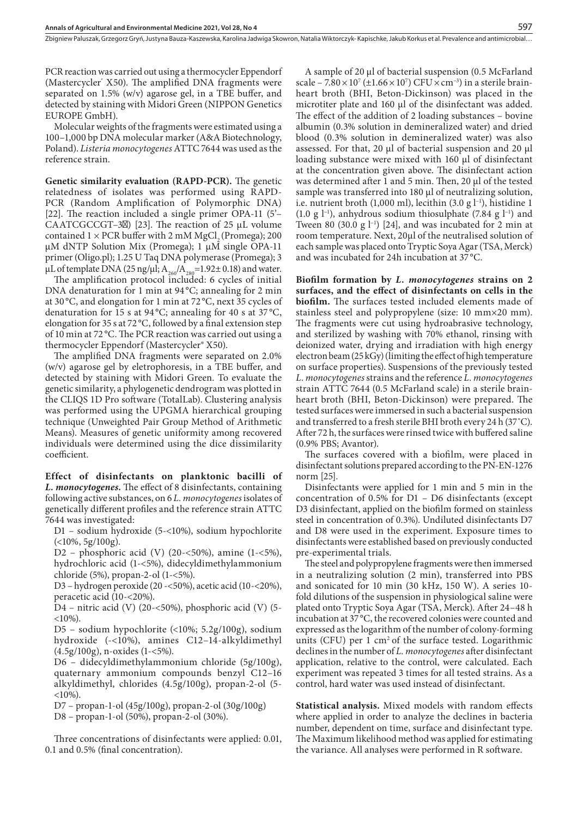PCR reaction was carried out using a thermocycler Eppendorf (Mastercycler® X50). The amplified DNA fragments were separated on 1.5% (w/v) agarose gel, in a TBE buffer, and detected by staining with Midori Green (NIPPON Genetics EUROPE GmbH).

Molecular weights of the fragments were estimated using a 100–1,000 bp DNA molecular marker (A&A Biotechnology, Poland). *Listeria monocytogenes* ATTC 7644 was used as the reference strain.

**Genetic similarity evaluation (RAPD-PCR).** The genetic relatedness of isolates was performed using RAPD-PCR (Random Amplification of Polymorphic DNA) [22]. The reaction included a single primer OPA-11 (5'– CAATCGCCGT–3) [23]. The reaction of 25  $\mu$ L volume contained  $1 \times PCR$  buffer with 2 mM MgCl<sub>2</sub> (Promega); 200 μM dNTP Solution Mix (Promega); 1 μM single OPA-11 primer (Oligo.pl); 1.25 U Taq DNA polymerase (Promega); 3 μL of template DNA (25 ng/μl;  $A_{260}/A_{280}$ =1.92± 0.18) and water.

The amplification protocol included: 6 cycles of initial DNA denaturation for 1 min at 94 °C; annealing for 2 min at 30 °C, and elongation for 1 min at 72 °C, next 35 cycles of denaturation for 15 s at 94 °C; annealing for 40 s at 37 °C, elongation for 35 s at 72 °C, followed by a final extension step of 10 min at 72 °C. The PCR reaction was carried out using a thermocycler Eppendorf (Mastercycler® X50).

The amplified DNA fragments were separated on 2.0% (w/v) agarose gel by eletrophoresis, in a TBE buffer, and detected by staining with Midori Green. To evaluate the genetic similarity, a phylogenetic dendrogram was plotted in the CLIQS 1D Pro software (TotalLab). Clustering analysis was performed using the UPGMA hierarchical grouping technique (Unweighted Pair Group Method of Arithmetic Means). Measures of genetic uniformity among recovered individuals were determined using the dice dissimilarity coefficient.

**Effect of disinfectants on planktonic bacilli of**  *L. monocytogenes.* The effect of 8 disinfectants, containing following active substances, on 6 *L. monocytogenes* isolates of genetically different profiles and the reference strain ATTC 7644 was investigated:

D1 – sodium hydroxide (5-<10%), sodium hypochlorite  $($  <math>\langle 10\%, 5g/100g</math>).

D2 – phosphoric acid (V) (20-<50%), amine (1-<5%), hydrochloric acid (1-<5%), didecyldimethylammonium chloride (5%), propan-2-ol (1-<5%).

D3 – hydrogen peroxide (20 -<50%), acetic acid (10-<20%), peracetic acid (10-<20%).

D4 – nitric acid (V) (20-<50%), phosphoric acid (V) (5-  $<10\%$ ).

D5 – sodium hypochlorite (<10%; 5.2g/100g), sodium hydroxide (-<10%), amines C12–14-alkyldimethyl (4.5g/100g), n-oxides (1-<5%).

D6 – didecyldimethylammonium chloride (5g/100g), quaternary ammonium compounds benzyl C12–16 alkyldimethyl, chlorides (4.5g/100g), propan-2-ol (5-  $<10\%$ ).

D7 – propan-1-ol (45g/100g), propan-2-ol (30g/100g) D8 – propan-1-ol (50%), propan-2-ol (30%).

Three concentrations of disinfectants were applied: 0.01, 0.1 and 0.5% (final concentration).

A sample of 20 μl of bacterial suspension (0.5 McFarland scale –  $7.80 \times 10^7 \, (\pm 1.66 \times 10^7) \, \text{CFU} \times \text{cm}^{-3}$ ) in a sterile brainheart broth (BHI, Beton-Dickinson) was placed in the microtiter plate and 160 μl of the disinfectant was added. The effect of the addition of 2 loading substances – bovine albumin (0.3% solution in demineralized water) and dried blood (0.3% solution in demineralized water) was also assessed. For that, 20 μl of bacterial suspension and 20 μl loading substance were mixed with 160 μl of disinfectant at the concentration given above. The disinfectant action was determined after 1 and 5 min. Then, 20 μl of the tested sample was transferred into 180 μl of neutralizing solution, i.e. nutrient broth (1,000 ml), lecithin (3.0 g l<sup>-1</sup>), histidine 1 (1.0 g l−1), anhydrous sodium thiosulphate (7.84 g l−1) and Tween 80 (30.0 g l<sup>−1</sup>) [24], and was incubated for 2 min at room temperature. Next, 20μl of the neutralised solution of each sample was placed onto Tryptic Soya Agar (TSA, Merck) and was incubated for 24h incubation at 37 °C.

**Biofilm formation by** *L. monocytogenes* **strains on 2 surfaces, and the effect of disinfectants on cells in the biofilm.** The surfaces tested included elements made of stainless steel and polypropylene (size: 10 mm×20 mm). The fragments were cut using hydroabrasive technology, and sterilized by washing with 70% ethanol, rinsing with deionized water, drying and irradiation with high energy electron beam (25 kGy) (limiting the effect of high temperature on surface properties). Suspensions of the previously tested *L. monocytogenes* strains and the reference *L. monocytogenes* strain ATTC 7644 (0.5 McFarland scale) in a sterile brainheart broth (BHI, Beton-Dickinson) were prepared. The tested surfaces were immersed in such a bacterial suspension and transferred to a fresh sterile BHI broth every 24 h (37˚C). After 72 h, the surfaces were rinsed twice with buffered saline (0.9% PBS; Avantor).

The surfaces covered with a biofilm, were placed in disinfectant solutions prepared according to the PN-EN-1276 norm [25].

Disinfectants were applied for 1 min and 5 min in the concentration of 0.5% for D1 – D6 disinfectants (except D3 disinfectant, applied on the biofilm formed on stainless steel in concentration of 0.3%). Undiluted disinfectants D7 and D8 were used in the experiment. Exposure times to disinfectants were established based on previously conducted pre-experimental trials.

The steel and polypropylene fragments were then immersed in a neutralizing solution (2 min), transferred into PBS and sonicated for 10 min (30 kHz, 150 W). A series 10 fold dilutions of the suspension in physiological saline were plated onto Tryptic Soya Agar (TSA, Merck). After 24–48 h incubation at 37 °C, the recovered colonies were counted and expressed as the logarithm of the number of colony-forming units (CFU) per  $1 \text{ cm}^2$  of the surface tested. Logarithmic declines in the number of *L. monocytogenes* after disinfectant application, relative to the control, were calculated. Each experiment was repeated 3 times for all tested strains. As a control, hard water was used instead of disinfectant.

**Statistical analysis.** Mixed models with random effects where applied in order to analyze the declines in bacteria number, dependent on time, surface and disinfectant type. The Maximum likelihood method was applied for estimating the variance. All analyses were performed in R software.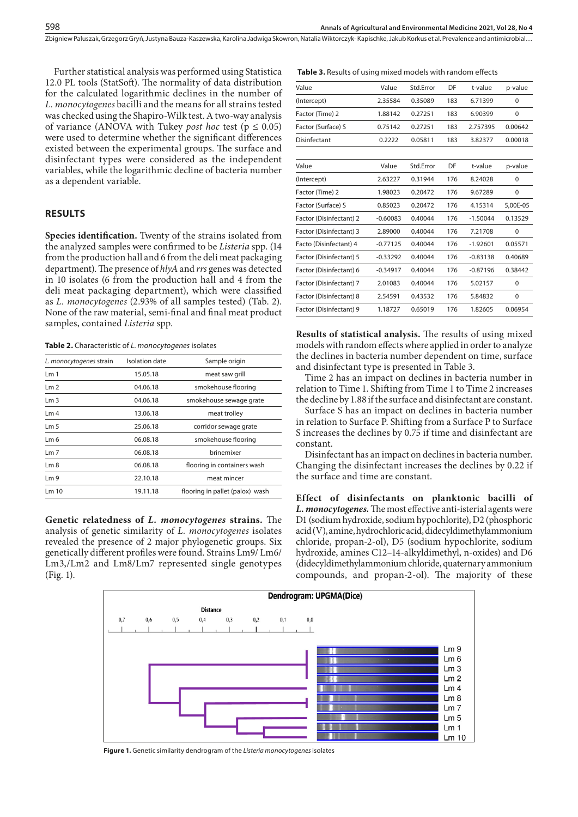Further statistical analysis was performed using Statistica 12.0 PL tools (StatSoft). The normality of data distribution for the calculated logarithmic declines in the number of *L. monocytogenes* bacilli and the means for all strains tested was checked using the Shapiro-Wilk test. A two-way analysis of variance (ANOVA with Tukey *post hoc* test ( $p \le 0.05$ ) were used to determine whether the significant differences existed between the experimental groups. The surface and disinfectant types were considered as the independent variables, while the logarithmic decline of bacteria number as a dependent variable.

## **RESULTS**

**Species identification.** Twenty of the strains isolated from the analyzed samples were confirmed to be *Listeria* spp. (14 from the production hall and 6 from the deli meat packaging department). The presence of *hlyA* and *rrs* genes was detected in 10 isolates (6 from the production hall and 4 from the deli meat packaging department), which were classified as *L. monocytogenes* (2.93% of all samples tested) (Tab. 2). None of the raw material, semi-final and final meat product samples, contained *Listeria* spp.

**Table 2.** Characteristic of *L. monocytogenes* isolates

| L. monocytogenes strain | Isolation date | Sample origin                   |
|-------------------------|----------------|---------------------------------|
| Lm <sub>1</sub>         | 15.05.18       | meat saw grill                  |
| Lm <sub>2</sub>         | 04.06.18       | smokehouse flooring             |
| Lm <sub>3</sub>         | 04.06.18       | smokehouse sewage grate         |
| Lm <sub>4</sub>         | 13.06.18       | meat trolley                    |
| Lm <sub>5</sub>         | 25.06.18       | corridor sewage grate           |
| Lm <sub>6</sub>         | 06.08.18       | smokehouse flooring             |
| Lm <sub>7</sub>         | 06.08.18       | brinemixer                      |
| Lm8                     | 06.08.18       | flooring in containers wash     |
| Lm9                     | 22.10.18       | meat mincer                     |
| Lm10                    | 19.11.18       | flooring in pallet (palox) wash |
|                         |                |                                 |

**Genetic relatedness of** *L. monocytogenes* **strains.** The analysis of genetic similarity of *L. monocytogenes* isolates revealed the presence of 2 major phylogenetic groups. Six genetically different profiles were found. Strains Lm9/ Lm6/ Lm3,/Lm2 and Lm8/Lm7 represented single genotypes (Fig. 1).

#### **Table 3.** Results of using mixed models with random effects

| Value      | Std.Error | DF  | t-value    | p-value  |  |
|------------|-----------|-----|------------|----------|--|
| 2.35584    | 0.35089   | 183 | 6.71399    | $\Omega$ |  |
| 1.88142    | 0.27251   | 183 | 6.90399    | $\Omega$ |  |
| 0.75142    | 0.27251   | 183 | 2.757395   | 0.00642  |  |
| 0.2222     | 0.05811   | 183 | 3.82377    | 0.00018  |  |
|            |           |     |            |          |  |
| Value      | Std.Error | DF  | t-value    | p-value  |  |
| 2.63227    | 0.31944   | 176 | 8.24028    | 0        |  |
| 1.98023    | 0.20472   | 176 | 9.67289    | 0        |  |
| 0.85023    | 0.20472   | 176 | 4.15314    | 5.00E-05 |  |
| $-0.60083$ | 0.40044   | 176 | $-1.50044$ | 0.13529  |  |
| 2.89000    | 0.40044   | 176 | 7.21708    | $\Omega$ |  |
| $-0.77125$ | 0.40044   | 176 | $-1.92601$ | 0.05571  |  |
| $-0.33292$ | 0.40044   | 176 | $-0.83138$ | 0.40689  |  |
| $-0.34917$ | 0.40044   | 176 | $-0.87196$ | 0.38442  |  |
| 2.01083    | 0.40044   | 176 | 5.02157    | $\Omega$ |  |
| 2.54591    | 0.43532   | 176 | 5.84832    | 0        |  |
| 1.18727    | 0.65019   | 176 | 1.82605    | 0.06954  |  |
|            |           |     |            |          |  |

**Results of statistical analysis.** The results of using mixed models with random effects where applied in order to analyze the declines in bacteria number dependent on time, surface and disinfectant type is presented in Table 3.

Time 2 has an impact on declines in bacteria number in relation to Time 1. Shifting from Time 1 to Time 2 increases the decline by 1.88 if the surface and disinfectant are constant.

Surface S has an impact on declines in bacteria number in relation to Surface P. Shifting from a Surface P to Surface S increases the declines by 0.75 if time and disinfectant are constant.

Disinfectant has an impact on declines in bacteria number. Changing the disinfectant increases the declines by 0.22 if the surface and time are constant.

**Effect of disinfectants on planktonic bacilli of**  *L. monocytogenes.* The most effective anti-isterial agents were D1 (sodium hydroxide, sodium hypochlorite), D2 (phosphoric acid (V), amine, hydrochloric acid, didecyldimethylammonium chloride, propan-2-ol), D5 (sodium hypochlorite, sodium hydroxide, amines C12–14-alkyldimethyl, n-oxides) and D6 (didecyldimethylammonium chloride, quaternary ammonium compounds, and propan-2-ol). The majority of these



**Figure 1.** Genetic similarity dendrogram of the *Listeria monocytogenes* isolates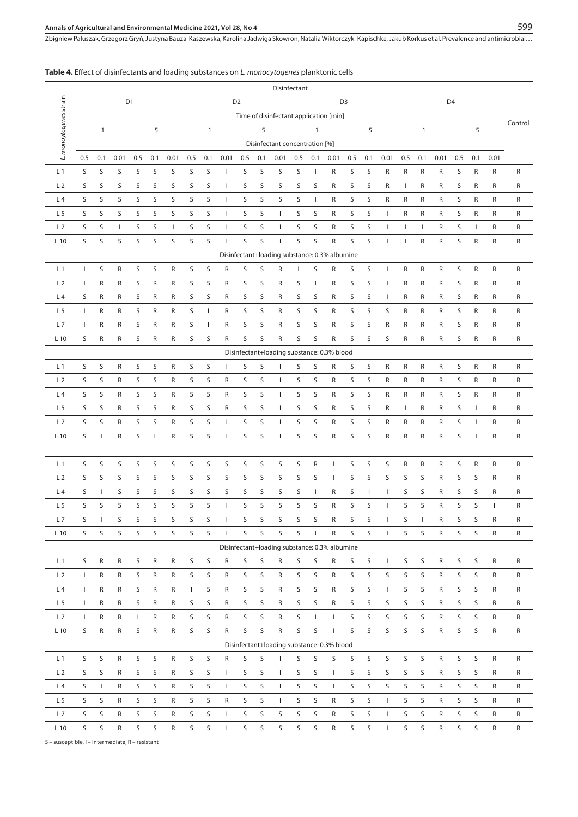# Annals of Agricultural and Environmental Medicine 2021, Vol 28, No 4

Zbigniew Paluszak, Grzegorz Gryń, Justyna Bauza-Kaszewska, Karolina Jadwiga Skowron, Natalia Wiktorczyk- Kapischke, Jakub Korkus et al. Prevalence and antimicrobial…

## **Table 4.** Effect of disinfectants and loading substances on *L. monocytogenes* planktonic cells

|                                               |                                        | Disinfectant                                                         |             |              |              |              |              |              |              |        |         |              |              |              |                                               |        |              |                          |              |              |             |        |              |              |         |
|-----------------------------------------------|----------------------------------------|----------------------------------------------------------------------|-------------|--------------|--------------|--------------|--------------|--------------|--------------|--------|---------|--------------|--------------|--------------|-----------------------------------------------|--------|--------------|--------------------------|--------------|--------------|-------------|--------|--------------|--------------|---------|
|                                               |                                        | D <sub>1</sub><br>D <sub>2</sub><br>D <sub>3</sub><br>D <sub>4</sub> |             |              |              |              |              |              |              |        |         |              |              |              |                                               |        |              |                          |              |              |             |        |              |              |         |
|                                               | Time of disinfectant application [min] |                                                                      |             |              |              |              |              |              |              |        |         |              |              |              |                                               |        |              |                          |              |              |             |        |              |              |         |
| L. monoytogenes strain                        |                                        | $\mathbf{1}$                                                         |             |              | 5            |              |              | $\mathbf{1}$ |              |        | 5       |              |              | $\mathbf{1}$ |                                               |        | 5            |                          |              | $\mathbf{1}$ |             |        | 5            |              | Control |
|                                               | Disinfectant concentration [%]         |                                                                      |             |              |              |              |              |              |              |        |         |              |              |              |                                               |        |              |                          |              |              |             |        |              |              |         |
|                                               | 0.5                                    | 0.1                                                                  | 0.01        | 0.5          | 0.1          | 0.01         | 0.5          | 0.1          | 0.01         | 0.5    | 0.1     | 0.01         | 0.5          | 0.1          | 0.01                                          | 0.5    | 0.1          | 0.01                     | 0.5          | 0.1          | 0.01        | 0.5    | 0.1          | 0.01         |         |
| L <sub>1</sub>                                | S                                      | S                                                                    | S           | S            | S            | S            | S            | S            | $\mathbf{I}$ | S      | S       | S            | S            | $\mathbf{I}$ | R                                             | S      | S            | R                        | R            | R            | R           | S      | R            | R            | R       |
| L <sub>2</sub>                                | S                                      | S                                                                    | S           | S            | S            | S            | S            | S            | $\mathbf{I}$ | S      | S       | S            | S            | S            | R                                             | S      | S            | R                        | $\mathbf{I}$ | R            | R           | S      | R            | R            | R       |
| L <sub>4</sub>                                | S                                      | S                                                                    | S           | S            | S            | S            | S            | S            | $\mathbf{I}$ | S      | S       | S            | S            | $\mathbf{I}$ | R                                             | S      | S            | R                        | R            | R            | R           | S      | R            | R            | R       |
| L <sub>5</sub>                                | S                                      | S                                                                    | S           | S            | S            | S            | S            | S            | $\mathbf{I}$ | S      | S       | T            | S            | S            | R                                             | S      | S            | T                        | R            | R            | R           | S      | R            | R            | R       |
| L7                                            | S                                      | S                                                                    | -1          | S            | S            | -1           | S            | S            | $\mathbf{I}$ | S      | S       | T            | S            | S            | R                                             | S      | S            | $\mathbf{I}$             | $\mathbf{I}$ | T            | R           | S      | $\mathbf{I}$ | R            | R       |
| L10                                           | S                                      | S                                                                    | S           | S            | S            | S            | S            | S            | $\mathbf{I}$ | S      | S       | $\mathbf{I}$ | S            | S            | $\mathsf{R}$                                  | S      | S            | T                        | T            | R            | R           | S      | R            | R            | R       |
| Disinfectant+loading substance: 0.3% albumine |                                        |                                                                      |             |              |              |              |              |              |              |        |         |              |              |              |                                               |        |              |                          |              |              |             |        |              |              |         |
| L <sub>1</sub>                                | T                                      | S                                                                    | R           | S            | S            | R            | S            | S            | R            | S      | S       | R            | $\mathbf{I}$ | S            | R                                             | S      | S            | T                        | R            | R            | R           | S      | R            | R            | R       |
| L <sub>2</sub>                                | $\mathbf{I}$                           | R                                                                    | R           | S            | R            | R            | S            | S            | R            | S      | S       | R            | S            | $\mathbf{I}$ | R                                             | S      | S            | $\mathbf{I}$             | R            | R            | R           | S      | R            | R            | R       |
| L4                                            | S                                      | R                                                                    | R           | S            | R            | R            | S            | S            | R            | S      | S       | R            | S            | S            | R                                             | S      | S            | $\mathbf{I}$             | R            | R            | R           | S      | R            | R            | R       |
| L <sub>5</sub>                                | $\mathsf{L}$                           | R                                                                    | R           | S            | R            | R            | S            | L            | R            | S      | S       | R            | S            | S            | R                                             | S      | S            | S                        | R            | R            | R           | S      | R            | R            | R       |
| L7                                            | $\mathsf{L}$                           | R                                                                    | R           | S            | R            | R            | S            | T            | R            | S      | S       | R            | S            | S            | R                                             | S      | S            | R                        | R            | R            | R           | S      | R            | R            | R       |
| L10                                           | S                                      | R                                                                    | R           | S            | R            | R            | S            | S            | R            | S      | S       | R            | S            | S            | R                                             | S      | S            | S                        | R            | R            | R           | S      | R            | R            | R       |
|                                               |                                        |                                                                      |             |              |              |              |              | S            |              |        |         |              |              |              | Disinfectant+loading substance: 0.3% blood    |        |              |                          |              |              |             |        |              |              |         |
| L1<br>L <sub>2</sub>                          | S                                      | S                                                                    | R           | S            | S<br>S       | R            | S            | S            | $\mathbf{I}$ | S      | S<br>S  | $\mathbf{I}$ | S            | S            | R                                             | S      | S            | R                        | R            | R            | R           | S      | R            | R            | R       |
| L4                                            | S<br>S                                 | S<br>S                                                               | R<br>R      | S<br>S       | S            | R<br>R       | S<br>S       | S            | R<br>R       | S<br>S | S       | T<br>T       | S<br>S       | S<br>S       | R<br>R                                        | S<br>S | S<br>S       | R<br>R                   | R<br>R       | R<br>R       | R<br>R      | S<br>S | R<br>R       | R<br>R       | R<br>R  |
| L <sub>5</sub>                                | S                                      | S                                                                    | R           | S            | S            | R            | S            | S            | R            | S      | S       | L            | S            | S            | R                                             | S      | S            | R                        | T            | R            | R           | S      | $\mathsf{L}$ | R            | R       |
| L7                                            | S                                      | S                                                                    | R           | S            | S            | R            | S            | S            | $\mathbf{I}$ | S      | S       | T            | S            | S            | R                                             | S      | S            | R                        | R            | R            | R           | S      | $\mathbf{I}$ | R            | R       |
| L10                                           | S                                      | $\overline{\phantom{a}}$                                             | R           | S            | $\mathbf{I}$ | R            | S            | S            | $\mathbf{I}$ | S      | S       | T            | S            | S            | R                                             | S      | S            | R                        | R            | R            | R           | S      | $\mathbf{I}$ | R            | R       |
|                                               |                                        |                                                                      |             |              |              |              |              |              |              |        |         |              |              |              |                                               |        |              |                          |              |              |             |        |              |              |         |
| L1                                            | S                                      | S                                                                    | S           | S            | S            | S            | S            | S            | S            | S      | S       | S            | S            | ${\sf R}$    | T                                             | S      | S            | S                        | R            | R            | R           | S      | R            | R            | R       |
| L <sub>2</sub>                                | S                                      | S                                                                    | S           | S            | S            | S            | S            | S            | S            | S      | S       | S            | S            | S            | $\mathbf{I}$                                  | S      | S            | S                        | S            | S            | R           | S      | S            | R            | R       |
| L4                                            | S                                      | $\mathbf{I}$                                                         | S           | S            | S            | S            | S            | S            | S            | S      | S       | S            | S            | $\mathbf{I}$ | R                                             | S      | $\mathbf{I}$ | $\mathbf{I}$             | S            | S            | R           | S      | S            | R            | R       |
| L <sub>5</sub>                                | S                                      | S                                                                    | S           | S            | S            | S            | S            | S            | $\mathbf{I}$ | S      | S       | S            | S            | S            | R                                             | S      | S            | $\overline{\phantom{a}}$ | S            | S            | R           | S      | S            | $\mathbf{I}$ | R       |
| L7                                            | S                                      |                                                                      | S           | S            | S            | S            | S            | S            |              | S      | S       | S            | S            | S            | R                                             | S      | S            | 1                        | S            |              | R           | S      | S            | R            | R       |
| L10                                           | S                                      | S                                                                    | S           | S            | S            | S            | S            | S            | $\mathbf{I}$ | S      | S       | S            | S            | $\mathbf{I}$ | R                                             | S      | S            | T                        | S            | S            | R           | S      | S            | R            | R       |
|                                               |                                        |                                                                      |             |              |              |              |              |              |              |        |         |              |              |              | Disinfectant+loading substance: 0.3% albumine |        |              |                          |              |              |             |        |              |              |         |
| L1                                            | S                                      | $\mathsf R$                                                          | $\mathsf R$ | S            | ${\sf R}$    | $\mathsf R$  | S            | S            | R            | S      | S       | R            | S            | S            | $\mathsf R$                                   | S      | S            | $\mathbf{I}$             | S            | S            | $\mathsf R$ | S      | S            | R            | R       |
| L <sub>2</sub>                                | $\mathbf{I}$                           | R                                                                    | R           | S            | R            | R            | S            | S            | R            | S      | S       | R            | S            | S            | R                                             | S      | S            | S                        | S            | S            | ${\sf R}$   | S      | S            | R            | R       |
| L4                                            | L                                      | R                                                                    | R           | S            | R            | ${\sf R}$    | $\mathbf{I}$ | S            | R            | S      | S       | R            | S            | S            | R                                             | S      | S            | $\mathbf{I}$             | S            | S            | R           | S      | S            | R            | R       |
| L <sub>5</sub>                                | $\mathbf{L}$                           | R                                                                    | R           | S            | R            | R            | S            | S            | R            | S      | S       | R            | S            | S            | $\mathsf{R}$                                  | S      | S            | S                        | S            | S            | $\mathsf R$ | S      | S            | R            | R       |
| L7                                            | $\mathbf{L}$                           | R                                                                    | R           | $\mathbf{I}$ | R            | ${\sf R}$    | S            | S            | R            | S      | S       | R            | S            | $\mathbf{I}$ | $\mathbf{I}$                                  | S      | S            | S                        | S            | S            | ${\sf R}$   | S      | S            | R            | R       |
| L10                                           | S                                      | ${\sf R}$                                                            | R           | S            | R            | $\mathsf R$  | S            | S            | R            | S      | S       | R            | S            | S            | $\mathbf{I}$                                  | S      | S            | S                        | S            | S            | ${\sf R}$   | S      | S            | R            | R       |
|                                               |                                        |                                                                      |             |              |              |              |              |              |              |        |         |              |              |              | Disinfectant+loading substance: 0.3% blood    |        |              |                          |              |              |             |        |              |              |         |
| L1                                            | S                                      | S                                                                    | R           | S            | S            | $\mathsf{R}$ | S            | S            | R            | S      | S       | $\mathbf{I}$ | S            | S            | S                                             | S      | S            | S                        | S            | S            | R           | S      | S            | R            | R       |
| L <sub>2</sub>                                | S                                      | S                                                                    | R           | S            | S            | ${\sf R}$    | S            | S            | $\mathbf{I}$ | S      | S       | $\mathsf{I}$ | S            | S            | $\mathbf{I}$                                  | S      | S            | $\mathsf S$              | S            | S            | R           | S      | S            | R            | R       |
| L4                                            | S                                      | $\mathbf{I}$                                                         | R           | S            | S            | R            | S            | S            | $\mathbf{I}$ | S      | $\sf S$ | $\mathbf{I}$ | S            | S            | $\mathbf{L}$                                  | S      | S            | S                        | S            | S            | R           | S      | S            | R            | R       |
| L <sub>5</sub>                                | S                                      | S                                                                    | R           | S            | S            | $\mathsf{R}$ | S            | S            | R            | S      | S       | $\mathbf{I}$ | S            | S            | $\mathsf{R}$                                  | S      | S            | $\mathbf{I}$             | S            | S            | R           | S      | S            | R            | R       |
| L7                                            | S                                      | S                                                                    | R           | S            | S            | ${\sf R}$    | S            | S            | $\mathsf{I}$ | S      | S       | S            | S            | S            | R                                             | S      | S            | $\mathsf{I}$             | S            | S            | R           | S      | S            | R            | R       |
| L10                                           | S                                      | S                                                                    | R           | S            | S            | ${\sf R}$    | S            | S            | L            | S      | S       | S            | S            | S            | R                                             | S      | S            | T                        | S            | S            | R           | S      | S            | $\mathsf{R}$ | R       |

S – susceptible, I – intermediate, R – resistant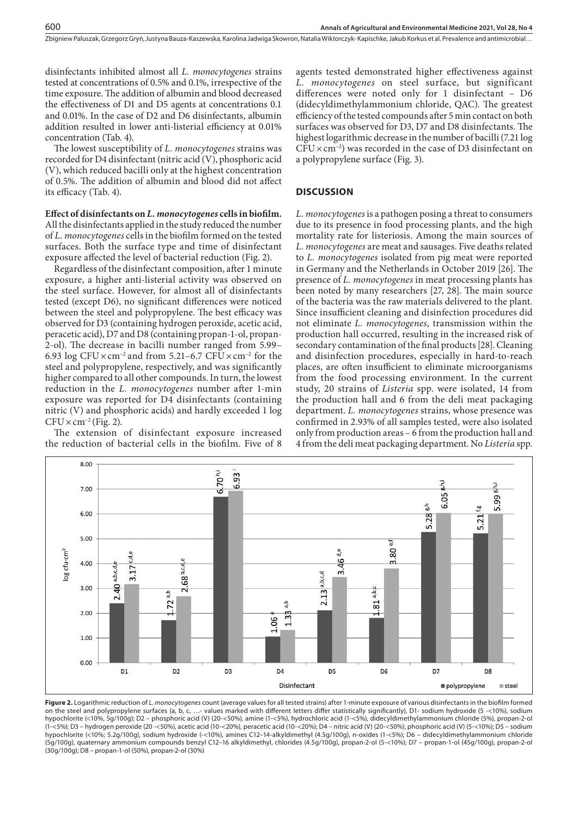disinfectants inhibited almost all *L. monocytogenes* strains tested at concentrations of 0.5% and 0.1%, irrespective of the time exposure. The addition of albumin and blood decreased the effectiveness of D1 and D5 agents at concentrations 0.1 and 0.01%. In the case of D2 and D6 disinfectants, albumin addition resulted in lower anti-listerial efficiency at 0.01% concentration (Tab. 4).

The lowest susceptibility of *L. monocytogenes* strains was recorded for D4 disinfectant (nitric acid (V), phosphoric acid (V), which reduced bacilli only at the highest concentration of 0.5%. The addition of albumin and blood did not affect its efficacy (Tab. 4).

## **Effect of disinfectants on** *L. monocytogenes* **cells in biofilm.**

All the disinfectants applied in the study reduced the number of *L. monocytogenes* cells in the biofilm formed on the tested surfaces. Both the surface type and time of disinfectant exposure affected the level of bacterial reduction (Fig. 2).

Regardless of the disinfectant composition, after 1 minute exposure, a higher anti-listerial activity was observed on the steel surface. However, for almost all of disinfectants tested (except D6), no significant differences were noticed between the steel and polypropylene. The best efficacy was observed for D3 (containing hydrogen peroxide, acetic acid, peracetic acid), D7 and D8 (containing propan-1-ol, propan-2-ol). The decrease in bacilli number ranged from 5.99– 6.93 log CFU×cm−2 and from 5.21–6.7 CFU×cm−2 for the steel and polypropylene, respectively, and was significantly higher compared to all other compounds. In turn, the lowest reduction in the *L. monocytogenes* number after 1-min exposure was reported for D4 disinfectants (containing nitric (V) and phosphoric acids) and hardly exceeded 1 log  $CFU \times cm^{-2}$  (Fig. 2).

The extension of disinfectant exposure increased the reduction of bacterial cells in the biofilm. Five of 8 agents tested demonstrated higher effectiveness against *L. monocytogenes* on steel surface, but significant differences were noted only for 1 disinfectant – D6 (didecyldimethylammonium chloride, QAC). The greatest efficiency of the tested compounds after 5 min contact on both surfaces was observed for D3, D7 and D8 disinfectants. The highest logarithmic decrease in the number of bacilli (7.21 log  $CFU \times cm^{-2}$ ) was recorded in the case of D3 disinfectant on a polypropylene surface (Fig. 3).

## **DISCUSSION**

*L. monocytogenes* is a pathogen posing a threat to consumers due to its presence in food processing plants, and the high mortality rate for listeriosis. Among the main sources of *L. monocytogenes* are meat and sausages. Five deaths related to *L. monocytogenes* isolated from pig meat were reported in Germany and the Netherlands in October 2019 [26]. The presence of *L. monocytogenes* in meat processing plants has been noted by many researchers [27, 28]. The main source of the bacteria was the raw materials delivered to the plant. Since insufficient cleaning and disinfection procedures did not eliminate *L. monocytogenes*, transmission within the production hall occurred, resulting in the increased risk of secondary contamination of the final products [28]. Cleaning and disinfection procedures, especially in hard-to-reach places, are often insufficient to eliminate microorganisms from the food processing environment. In the current study, 20 strains of *Listeria* spp. were isolated, 14 from the production hall and 6 from the deli meat packaging department. *L. monocytogenes* strains, whose presence was confirmed in 2.93% of all samples tested, were also isolated only from production areas – 6 from the production hall and 4 from the deli meat packaging department. No *Listeria* spp.



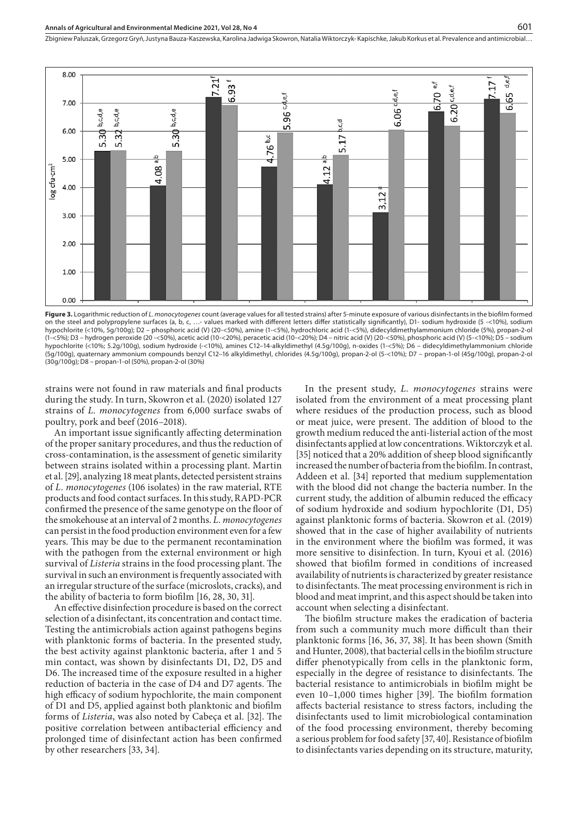

**Figure 3.** Logarithmic reduction of *L. monocytogenes* count (average values for all tested strains) after 5-minute exposure of various disinfectants in the biofilm formed on the steel and polypropylene surfaces (a, b, c, …- values marked with different letters differ statistically significantly), D1- sodium hydroxide (5 -<10%), sodium<br>hypochlorite (<10%, 5g/100g); D2 – phosphoric acid (V) ( (1-<5%); D3 – hydrogen peroxide (20 -<50%), acetic acid (10-<20%), peracetic acid (10-<20%); D4 – nitric acid (V) (20-<50%), phosphoric acid (V) (5-<10%); D5 – sodium hypochlorite (<10%; 5.2g/100g), sodium hydroxide (-<10%), amines C12–14-alkyldimethyl (4.5g/100g), n-oxides (1-<5%); D6 – didecyldimethylammonium chloride (5g/100g), quaternary ammonium compounds benzyl C12–16 alkyldimethyl, chlorides (4.5g/100g), propan-2-ol (5-<10%); D7 – propan-1-ol (45g/100g), propan-2-ol (30g/100g); D8 – propan-1-ol (50%), propan-2-ol (30%)

strains were not found in raw materials and final products during the study. In turn, Skowron et al. (2020) isolated 127 strains of *L. monocytogenes* from 6,000 surface swabs of poultry, pork and beef (2016–2018).

An important issue significantly affecting determination of the proper sanitary procedures, and thus the reduction of cross-contamination, is the assessment of genetic similarity between strains isolated within a processing plant. Martin et al. [29], analyzing 18 meat plants, detected persistent strains of *L. monocytogenes* (106 isolates) in the raw material, RTE products and food contact surfaces. In this study, RAPD-PCR confirmed the presence of the same genotype on the floor of the smokehouse at an interval of 2 months. *L. monocytogenes*  can persist in the food production environment even for a few years. This may be due to the permanent recontamination with the pathogen from the external environment or high survival of *Listeria* strains in the food processing plant. The survival in such an environment is frequently associated with an irregular structure of the surface (microslots, cracks), and the ability of bacteria to form biofilm [16, 28, 30, 31].

An effective disinfection procedure is based on the correct selection of a disinfectant, its concentration and contact time. Testing the antimicrobials action against pathogens begins with planktonic forms of bacteria. In the presented study, the best activity against planktonic bacteria, after 1 and 5 min contact, was shown by disinfectants D1, D2, D5 and D6. The increased time of the exposure resulted in a higher reduction of bacteria in the case of D4 and D7 agents. The high efficacy of sodium hypochlorite, the main component of D1 and D5, applied against both planktonic and biofilm forms of *Listeria*, was also noted by Cabeça et al. [32]. The positive correlation between antibacterial efficiency and prolonged time of disinfectant action has been confirmed by other researchers [33, 34].

In the present study, *L. monocytogenes* strains were isolated from the environment of a meat processing plant where residues of the production process, such as blood or meat juice, were present. The addition of blood to the growth medium reduced the anti-listerial action of the most disinfectants applied at low concentrations. Wiktorczyk et al. [35] noticed that a 20% addition of sheep blood significantly increased the number of bacteria from the biofilm. In contrast, Addeen et al. [34] reported that medium supplementation with the blood did not change the bacteria number. In the current study, the addition of albumin reduced the efficacy of sodium hydroxide and sodium hypochlorite (D1, D5) against planktonic forms of bacteria. Skowron et al. (2019) showed that in the case of higher availability of nutrients in the environment where the biofilm was formed, it was more sensitive to disinfection. In turn, Kyoui et al. (2016) showed that biofilm formed in conditions of increased availability of nutrients is characterized by greater resistance to disinfectants.The meat processing environment is rich in blood and meat imprint, and this aspect should be taken into account when selecting a disinfectant.

The biofilm structure makes the eradication of bacteria from such a community much more difficult than their planktonic forms [16, 36, 37, 38]. It has been shown (Smith and Hunter, 2008), that bacterial cells in the biofilm structure differ phenotypically from cells in the planktonic form, especially in the degree of resistance to disinfectants. The bacterial resistance to antimicrobials in biofilm might be even 10–1,000 times higher [39]. The biofilm formation affects bacterial resistance to stress factors, including the disinfectants used to limit microbiological contamination of the food processing environment, thereby becoming a serious problem for food safety [37, 40]. Resistance of biofilm to disinfectants varies depending on its structure, maturity,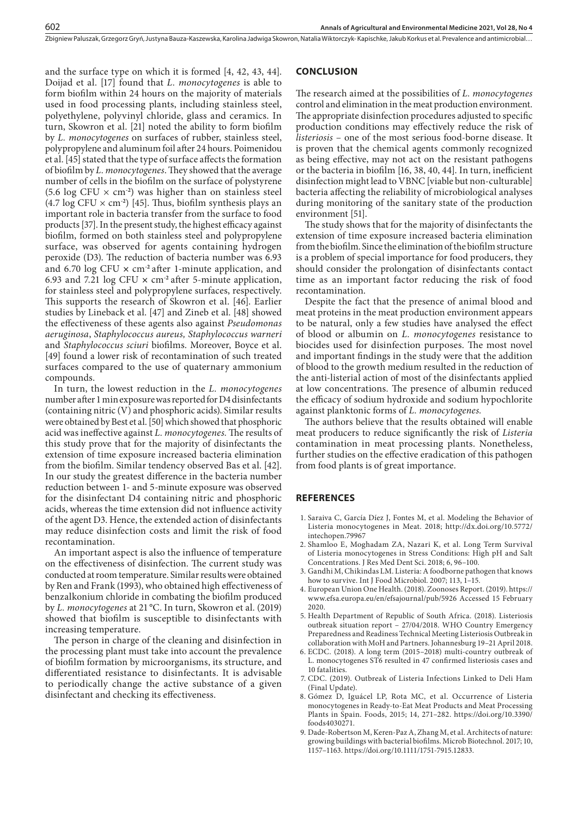and the surface type on which it is formed [4, 42, 43, 44]. Doijad et al. [17] found that *L. monocytogenes* is able to form biofilm within 24 hours on the majority of materials used in food processing plants, including stainless steel, polyethylene, polyvinyl chloride, glass and ceramics. In turn, Skowron et al. [21] noted the ability to form biofilm by *L. monocytogenes* on surfaces of rubber, stainless steel, polypropylene and aluminum foil after 24 hours. Poimenidou et al. [45] stated that the type of surface affects the formation of biofilm by *L. monocytogenes*. They showed that the average number of cells in the biofilm on the surface of polystyrene (5.6 log CFU  $\times$  cm<sup>-2</sup>) was higher than on stainless steel  $(4.7 \log CFU \times cm^2)$  [45]. Thus, biofilm synthesis plays an important role in bacteria transfer from the surface to food products [37]. In the present study, the highest efficacy against biofilm, formed on both stainless steel and polypropylene surface, was observed for agents containing hydrogen peroxide (D3). The reduction of bacteria number was 6.93 and 6.70 log CFU **×** cm**-2** after 1-minute application, and 6.93 and 7.21 log CFU **×** cm**-2** after 5-minute application, for stainless steel and polypropylene surfaces, respectively. This supports the research of Skowron et al. [46]. Earlier studies by Lineback et al. [47] and Zineb et al. [48] showed the effectiveness of these agents also against *Pseudomonas aeruginosa*, *Staphylococcus aureus, Staphylococcus warneri*  and *Staphylococcus sciuri* biofilms. Moreover, Boyce et al. [49] found a lower risk of recontamination of such treated surfaces compared to the use of quaternary ammonium compounds.

In turn, the lowest reduction in the *L. monocytogenes* number after 1 min exposure was reported for D4 disinfectants (containing nitric (V) and phosphoric acids). Similar results were obtained by Best et al. [50] which showed that phosphoric acid was ineffective against *L. monocytogenes.* The results of this study prove that for the majority of disinfectants the extension of time exposure increased bacteria elimination from the biofilm. Similar tendency observed Bas et al. [42]. In our study the greatest difference in the bacteria number reduction between 1- and 5-minute exposure was observed for the disinfectant D4 containing nitric and phosphoric acids, whereas the time extension did not influence activity of the agent D3. Hence, the extended action of disinfectants may reduce disinfection costs and limit the risk of food recontamination.

An important aspect is also the influence of temperature on the effectiveness of disinfection. The current study was conducted at room temperature. Similar results were obtained by Ren and Frank (1993), who obtained high effectiveness of benzalkonium chloride in combating the biofilm produced by *L. monocytogenes* at 21 °C. In turn, Skowron et al. (2019) showed that biofilm is susceptible to disinfectants with increasing temperature.

The person in charge of the cleaning and disinfection in the processing plant must take into account the prevalence of biofilm formation by microorganisms, its structure, and differentiated resistance to disinfectants. It is advisable to periodically change the active substance of a given disinfectant and checking its effectiveness.

## **CONCLUSION**

The research aimed at the possibilities of *L. monocytogenes* control and elimination in the meat production environment. The appropriate disinfection procedures adjusted to specific production conditions may effectively reduce the risk of *listeriosis* – one of the most serious food-borne disease. It is proven that the chemical agents commonly recognized as being effective, may not act on the resistant pathogens or the bacteria in biofilm [16, 38, 40, 44]. In turn, inefficient disinfection might lead to VBNC [viable but non-culturable] bacteria affecting the reliability of microbiological analyses during monitoring of the sanitary state of the production environment [51].

The study shows that for the majority of disinfectants the extension of time exposure increased bacteria elimination from the biofilm. Since the elimination of the biofilm structure is a problem of special importance for food producers, they should consider the prolongation of disinfectants contact time as an important factor reducing the risk of food recontamination.

Despite the fact that the presence of animal blood and meat proteins in the meat production environment appears to be natural, only a few studies have analysed the effect of blood or albumin on *L. monocytogenes* resistance to biocides used for disinfection purposes. The most novel and important findings in the study were that the addition of blood to the growth medium resulted in the reduction of the anti-listerial action of most of the disinfectants applied at low concentrations. The presence of albumin reduced the efficacy of sodium hydroxide and sodium hypochlorite against planktonic forms of *L. monocytogenes.*

The authors believe that the results obtained will enable meat producers to reduce significantly the risk of *Listeria* contamination in meat processing plants. Nonetheless, further studies on the effective eradication of this pathogen from food plants is of great importance.

## **REFERENCES**

- 1. Saraiva C, García Díez J, Fontes M, et al. Modeling the Behavior of Listeria monocytogenes in Meat. 2018; http://dx.doi.org/10.5772/ intechopen.79967
- 2. Shamloo E, Moghadam ZA, Nazari K, et al. Long Term Survival of Listeria monocytogenes in Stress Conditions: High pH and Salt Concentrations. J Res Med Dent Sci. 2018; 6, 96–100.
- 3. Gandhi M, Chikindas LM. Listeria: A foodborne pathogen that knows how to survive. Int J Food Microbiol. 2007; 113, 1-15.
- 4. European Union One Health. (2018). Zoonoses Report. (2019). https:// www.efsa.europa.eu/en/efsajournal/pub/5926 Accessed 15 February 2020.
- 5. Health Department of Republic of South Africa. (2018). Listeriosis outbreak situation report – 27/04/2018. WHO Country Emergency Preparedness and Readiness Technical Meeting Listeriosis Outbreak in collaboration with MoH and Partners. Johannesburg 19–21 April 2018.
- 6. ECDC. (2018). A long term (2015–2018) multi-country outbreak of L. monocytogenes ST6 resulted in 47 confirmed listeriosis cases and 10 fatalities.
- 7. CDC. (2019). Outbreak of Listeria Infections Linked to Deli Ham (Final Update).
- 8. Gómez D, Iguácel LP, Rota MC, et al. Occurrence of Listeria monocytogenes in Ready-to-Eat Meat Products and Meat Processing Plants in Spain. Foods, 2015; 14, 271–282. https://doi.org/10.3390/ foods4030271.
- 9. Dade-Robertson M, Keren-Paz A, Zhang M, et al. Architects of nature: growing buildings with bacterial biofilms. Microb Biotechnol. 2017; 10, 1157–1163. https://doi.org/10.1111/1751-7915.12833.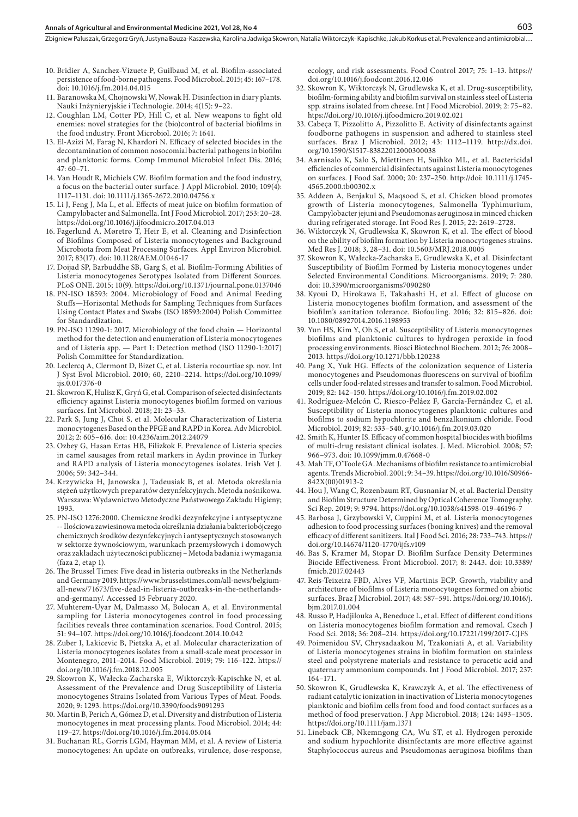- 10. Bridier A, Sanchez-Vizuete P, Guilbaud M, et al. Biofilm-associated persistence of food-borne pathogens. Food Microbiol. 2015; 45: 167–178. doi: 10.1016/j.fm.2014.04.015
- 11. Baranowska M, Chojnowski W, Nowak H. Disinfection in diary plants. Nauki Inżynieryjskie i Technologie. 2014; 4(15): 9–22.
- 12. Coughlan LM, Cotter PD, Hill C, et al. New weapons to fight old enemies: novel strategies for the (bio)control of bacterial biofilms in the food industry. Front Microbiol. 2016; 7: 1641.
- 13. El-Azizi M, Farag N, Khardori N. Efficacy of selected biocides in the decontamination of common nosocomial bacterial pathogens in biofilm and planktonic forms. Comp Immunol Microbiol Infect Dis. 2016; 47: 60–71.
- 14. Van Houdt R, Michiels CW. Biofilm formation and the food industry, a focus on the bacterial outer surface. J Appl Microbiol. 2010; 109(4): 1117–1131. doi: 10.1111/j.1365-2672.2010.04756.x
- 15. Li J, Feng J, Ma L, et al. Effects of meat juice on biofilm formation of Campylobacter and Salmonella. Int J Food Microbiol. 2017; 253: 20–28. https://doi.org/10.1016/j.ijfoodmicro.2017.04.013
- 16. Fagerlund A, Møretrø T, Heir E, et al. Cleaning and Disinfection of Biofilms Composed of Listeria monocytogenes and Background Microbiota from Meat Processing Surfaces. Appl Environ Microbiol. 2017; 83(17). doi: 10.1128/AEM.01046-17
- 17. Doijad SP, Barbuddhe SB, Garg S, et al. Biofilm-Forming Abilities of Listeria monocytogenes Serotypes Isolated from Different Sources. PLoS ONE. 2015; 10(9). https://doi.org/10.1371/journal.pone.0137046
- 18. PN-ISO 18593: 2004. Microbiology of Food and Animal Feeding Stuffs—Horizontal Methods for Sampling Techniques from Surfaces Using Contact Plates and Swabs (ISO 18593:2004) Polish Committee for Standardization.
- 19. PN-ISO 11290-1: 2017. Microbiology of the food chain Horizontal method for the detection and enumeration of Listeria monocytogenes and of Listeria spp. — Part 1: Detection method (ISO 11290-1:2017) Polish Committee for Standardization.
- 20. Leclercq A, Clermont D, Bizet C, et al. Listeria rocourtiae sp. nov. Int J Syst Evol Microbiol. 2010; 60, 2210–2214. https://doi.org/10.1099/ ijs.0.017376-0
- 21. Skowron K, Hulisz K, Gryń G, et al. Comparison of selected disinfectants efficiency against Listeria monocytogenes biofilm formed on various surfaces. Int Microbiol. 2018; 21: 23–33.
- 22. Park S, Jung J, Choi S, et al. Molecular Characterization of Listeria monocytogenes Based on the PFGE and RAPD in Korea. Adv Microbiol. 2012; 2: 605–616. doi: 10.4236/aim.2012.24079
- 23. Ozbey G, Hasan Ertas HB, Filizkok F. Prevalence of Listeria species in camel sausages from retail markers in Aydin province in Turkey and RAPD analysis of Listeria monocytogenes isolates. Irish Vet J. 2006; 59: 342–344.
- 24. Krzywicka H, Janowska J, Tadeusiak B, et al. Metoda określania stężeń użytkowych preparatów dezynfekcyjnych. Metoda nośnikowa. Warszawa: Wydawnictwo Metodyczne Państwowego Zakładu Higieny; 1993.
- 25. PN-ISO 1276:2000. Chemiczne środki dezynfekcyjne i antyseptyczne -- Ilościowa zawiesinowa metoda określania działania bakteriobójczego chemicznych środków dezynfekcyjnych i antyseptycznych stosowanych w sektorze żywnościowym, warunkach przemysłowych i domowych oraz zakładach użyteczności publicznej – Metoda badania i wymagania (faza 2, etap 1).
- 26. The Brussel Times: Five dead in listeria outbreaks in the Netherlands and Germany 2019. https://www.brusselstimes.com/all-news/belgiumall-news/71673/five-dead-in-listeria-outbreaks-in-the-netherlandsand-germany/. Accessed 15 February 2020.
- 27. Muhterem-Uyar M, Dalmasso M, Bolocan A, et al. Environmental sampling for Listeria monocytogenes control in food processing facilities reveals three contamination scenarios. Food Control. 2015; 51: 94–107. https://doi.org/10.1016/j.foodcont.2014.10.042
- 28. Zuber I, Lakicevic B, Pietzka A, et al. Molecular characterization of Listeria monocytogenes isolates from a small-scale meat processor in Montenegro, 2011–2014. Food Microbiol. 2019; 79: 116–122. https:// doi.org/10.1016/j.fm.2018.12.005
- 29. Skowron K, Wałecka-Zacharska E, Wiktorczyk-Kapischke N, et al. Assessment of the Prevalence and Drug Susceptibility of Listeria monocytogenes Strains Isolated from Various Types of Meat. Foods. 2020; 9: 1293. https://doi.org/10.3390/foods9091293
- 30. Martin B, Perich A, Gómez D, et al. Diversity and distribution of Listeria monocytogenes in meat processing plants. Food Microbiol. 2014; 44: 119–27. https://doi.org/10.1016/j.fm.2014.05.014
- 31. Buchanan RL, Gorris LGM, Hayman MM, et al. A review of Listeria monocytogenes: An update on outbreaks, virulence, dose-response,

ecology, and risk assessments. Food Control 2017; 75: 1–13. https:// doi.org/10.1016/j.foodcont.2016.12.016

- 32. Skowron K, Wiktorczyk N, Grudlewska K, et al. Drug-susceptibility, biofilm-forming ability and biofilm survival on stainless steel of Listeria spp. strains isolated from cheese. Int J Food Microbiol. 2019; 2: 75–82. htps://doi.org/10.1016/j.ijfoodmicro.2019.02.021
- 33. Cabeça T, Pizzolitto A, Pizzolitto E. Activity of disinfectants against foodborne pathogens in suspension and adhered to stainless steel surfaces. Braz J Microbiol. 2012; 43: 1112–1119. http://dx.doi. org/10.1590/S1517-83822012000300038
- 34. Aarnisalo K, Salo S, Miettinen H, Suihko ML, et al. Bactericidal efficiencies of commercial disinfectants against Listeria monocytogenes on surfaces. J Food Saf. 2000; 20: 237–250. http://doi: 10.1111/j.1745- 4565.2000.tb00302.x
- 35. Addeen A, Benjakul S, Maqsood S, et al. Chicken blood promotes growth of Listeria monocytogenes, Salmonella Typhimurium, Campylobacter jejuni and Pseudomonas aeruginosa in minced chicken during refrigerated storage. Int Food Res J. 2015; 22: 2619–2728.
- 36. Wiktorczyk N, Grudlewska K, Skowron K, et al. The effect of blood on the ability of biofilm formation by Listeria monocytogenes strains. Med Res J. 2018; 3, 28–31. doi: 10.5603/MRJ.2018.0005
- 37. Skowron K, Wałecka-Zacharska E, Grudlewska K, et al. Disinfectant Susceptibility of Biofilm Formed by Listeria monocytogenes under Selected Environmental Conditions. Microorganisms. 2019; 7: 280. doi: 10.3390/microorganisms7090280
- 38. Kyoui D, Hirokawa E, Takahashi H, et al. Effect of glucose on Listeria monocytogenes biofilm formation, and assessment of the biofilm's sanitation tolerance. Biofouling. 2016; 32: 815–826. doi: 10.1080/08927014.2016.1198953
- 39. Yun HS, Kim Y, Oh S, et al. Susceptibility of Listeria monocytogenes biofilms and planktonic cultures to hydrogen peroxide in food processing environments. Biosci Biotechnol Biochem. 2012; 76: 2008– 2013. https://doi.org/10.1271/bbb.120238
- 40. Pang X, Yuk HG. Effects of the colonization sequence of Listeria monocytogenes and Pseudomonas fluorescens on survival of biofilm cells under food-related stresses and transfer to salmon. Food Microbiol. 2019; 82: 142–150. https://doi.org/10.1016/j.fm.2019.02.002
- 41. Rodríguez-Melcón C, Riesco-Peláez F, García-Fernández C, et al. Susceptibility of Listeria monocytogenes planktonic cultures and biofilms to sodium hypochlorite and benzalkonium chloride. Food Microbiol. 2019; 82: 533–540. g/10.1016/j.fm.2019.03.020
- 42. Smith K, Hunter IS. Efficacy of common hospital biocides with biofilms of multi-drug resistant clinical isolates. J. Med. Microbiol. 2008; 57: 966–973. doi: 10.1099/jmm.0.47668-0
- 43. Mah TF, O'Toole GA. Mechanisms of biofilm resistance to antimicrobial agents. Trends Microbiol. 2001; 9: 34–39. https://doi.org/10.1016/S0966- 842X(00)01913-2
- 44. Hou J, Wang C, Rozenbaum RT, Gusnaniar N, et al. Bacterial Density and Biofilm Structure Determined by Optical Coherence Tomography. Sci Rep. 2019; 9: 9794. https://doi.org/10.1038/s41598-019-46196-7
- 45. Barbosa J, Grzybowski V, Cuppini M, et al. Listeria monocytogenes adhesion to food processing surfaces (boning knives) and the removal efficacy of different sanitizers. Ital J Food Sci. 2016; 28: 733–743. https:// doi.org/10.14674/1120-1770/ijfs.v109
- 46. Bas S, Kramer M, Stopar D. Biofilm Surface Density Determines Biocide Effectiveness. Front Microbiol. 2017; 8: 2443. doi: 10.3389/ fmicb.2017.02443
- 47. Reis-Teixeira FBD, Alves VF, Martinis ECP. Growth, viability and architecture of biofilms of Listeria monocytogenes formed on abiotic surfaces. Braz J Microbiol. 2017; 48: 587–591. https://doi.org/10.1016/j. bjm.2017.01.004
- 48. Russo P, Hadjilouka A, Beneduce L, et al. Effect of different conditions on Listeria monocytogenes biofilm formation and removal. Czech J Food Sci. 2018; 36: 208–214. https://doi.org/10.17221/199/2017-CJFS
- 49. Poimenidou SV, Chrysadaakou M, Tzakoniati A, et al. Variability of Listeria monocytogenes strains in biofilm formation on stainless steel and polystyrene materials and resistance to peracetic acid and quaternary ammonium compounds. Int J Food Microbiol. 2017; 237: 164–171.
- 50. Skowron K, Grudlewska K, Krawczyk A, et al. The effectiveness of radiant catalytic ionization in inactivation of Listeria monocytogenes planktonic and biofilm cells from food and food contact surfaces as a method of food preservation. J App Microbiol. 2018; 124: 1493–1505. https://doi.org/10.1111/jam.1371
- 51. Lineback CB, Nkemngong CA, Wu ST, et al. Hydrogen peroxide and sodium hypochlorite disinfectants are more effective against Staphylococcus aureus and Pseudomonas aeruginosa biofilms than